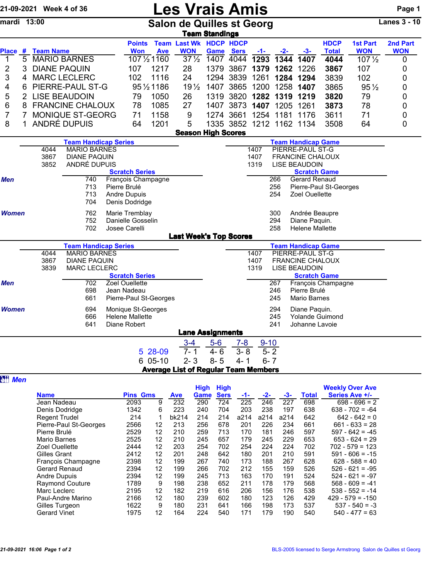| 21-09-2021 Week 4 of 36 |   |                                                           |                                     |              |                                    | <b>Les Vrais Amis</b>      |                                                        |                       |                     |               |               |                                                 |                        |                                |                 |
|-------------------------|---|-----------------------------------------------------------|-------------------------------------|--------------|------------------------------------|----------------------------|--------------------------------------------------------|-----------------------|---------------------|---------------|---------------|-------------------------------------------------|------------------------|--------------------------------|-----------------|
| mardi 13:00             |   |                                                           |                                     |              |                                    |                            | <b>Salon de Quilles st Georg</b>                       | <b>Team Standings</b> |                     |               |               |                                                 |                        |                                | Lanes $3 - 10$  |
|                         |   |                                                           |                                     |              | <b>Points</b>                      |                            | <b>Team Last Wk HDCP HDCP</b>                          |                       |                     |               |               |                                                 | <b>HDCP</b>            | <b>1st Part</b>                | 2nd Part        |
| 1                       |   | Place # Team Name                                         |                                     |              | <b>Won</b>                         | <b>Ave</b><br>107 1/2 1160 | <b>WON</b><br>$37\frac{1}{2}$                          | Game<br>1407          | <b>Sers</b><br>4044 | $-1-$<br>1293 | $-2-$<br>1344 | $-3-$<br>1407                                   | <b>Total</b><br>4044   | <b>WON</b><br>$107\frac{1}{2}$ | <b>WON</b><br>0 |
| $\overline{\mathbf{c}}$ |   | 5 MARIO BARNES<br><b>DIANE PAQUIN</b><br>1217<br>3<br>107 |                                     |              |                                    | 28                         | 1379                                                   | 3867                  | 1379                | 1262          | 1226          | 3867                                            | 107                    | 0                              |                 |
| 3                       | 4 | <b>MARC LECLERC</b><br>102<br>1116                        |                                     |              |                                    | 24                         | 1294                                                   | 3839                  | 1261                | 1284          | 1294          | 3839                                            | 102                    | 0                              |                 |
| 4                       | 6 |                                                           |                                     |              |                                    | 95 1/2 1186                | 19 <sub>2</sub>                                        | 1407                  | 3865                | 1200          | 1258          | 1407                                            | 3865                   | $95\frac{1}{2}$                | 0               |
| 5                       |   | PIERRE-PAUL ST-G<br><b>LISE BEAUDOIN</b><br>79            |                                     |              |                                    | 1050                       | 26                                                     | 1319                  | 3820                | 1282          | 1319          | 1219                                            | 3820                   | 79                             | 0               |
| 6                       | 8 |                                                           | <b>FRANCINE CHALOUX</b>             |              | 78                                 | 1085                       | 27                                                     | 1407                  | 3873                | 1407          | 1205          | 1261                                            | 3873                   | 78                             | 0               |
| $\overline{7}$          |   |                                                           | MONIQUE ST-GEORG                    |              | 71                                 | 1158                       | 9                                                      |                       | 1274 3661           |               |               | 1254 1181 1176                                  | 3611                   | 71                             | 0               |
| 8                       |   |                                                           | ANDRÉ DUPUIS                        |              | 64                                 | 1201                       | 5                                                      |                       |                     |               |               | 1335 3852 1212 1162 1134                        | 3508                   | 64                             | 0               |
|                         |   |                                                           |                                     |              |                                    |                            | <b>Season High Scores</b>                              |                       |                     |               |               |                                                 |                        |                                |                 |
|                         |   |                                                           | <b>Team Handicap Series</b>         |              |                                    |                            |                                                        |                       |                     |               |               | <b>Team Handicap Game</b>                       |                        |                                |                 |
|                         |   | 4044                                                      | <b>MARIO BARNES</b>                 |              |                                    |                            |                                                        |                       |                     | 1407          |               | PIERRE-PAUL ST-G                                |                        |                                |                 |
|                         |   | 3867                                                      | <b>DIANE PAQUIN</b><br>ANDRÉ DUPUIS |              |                                    |                            |                                                        |                       |                     | 1407          |               | <b>FRANCINE CHALOUX</b><br><b>LISE BEAUDOIN</b> |                        |                                |                 |
|                         |   | 3852                                                      |                                     |              | <b>Scratch Series</b>              |                            |                                                        |                       |                     | 1319          |               | <b>Scratch Game</b>                             |                        |                                |                 |
| Men                     |   |                                                           | 740                                 |              |                                    | François Champagne         |                                                        |                       |                     |               | 266           | Gerard Renaud                                   |                        |                                |                 |
|                         |   |                                                           | 713                                 | Pierre Brulé |                                    |                            |                                                        |                       |                     |               | 256           |                                                 | Pierre-Paul St-Georges |                                |                 |
|                         |   |                                                           | 713                                 |              | Andre Dupuis                       |                            |                                                        |                       |                     |               | 254           | Zoel Ouellette                                  |                        |                                |                 |
|                         |   |                                                           | 704                                 |              | Denis Dodridge                     |                            |                                                        |                       |                     |               |               |                                                 |                        |                                |                 |
| <b>Women</b>            |   | 762                                                       |                                     |              | Marie Tremblay                     |                            |                                                        |                       |                     |               | 300           | Andrée Beaupre                                  |                        |                                |                 |
|                         |   |                                                           | 752<br>702                          |              | Danielle Gosselin<br>Josee Carelli |                            |                                                        |                       |                     |               | 294<br>258    | Diane Paquin.<br><b>Helene Mallette</b>         |                        |                                |                 |
|                         |   |                                                           |                                     |              |                                    |                            | <b>Last Week's Top Scores</b>                          |                       |                     |               |               |                                                 |                        |                                |                 |
|                         |   |                                                           | <b>Team Handicap Series</b>         |              |                                    |                            |                                                        |                       |                     |               |               | <b>Team Handicap Game</b>                       |                        |                                |                 |
|                         |   | 4044                                                      | <b>MARIO BARNES</b>                 |              |                                    |                            |                                                        |                       |                     | 1407          |               | PIERRE-PAUL ST-G                                |                        |                                |                 |
|                         |   | 3867<br><b>DIANE PAQUIN</b><br><b>MARC LECLERC</b>        |                                     |              |                                    |                            |                                                        | 1407                  |                     |               |               | <b>FRANCINE CHALOUX</b>                         |                        |                                |                 |
|                         |   | 3839                                                      |                                     |              | <b>Scratch Series</b>              |                            |                                                        |                       |                     | 1319          |               | <b>LISE BEAUDOIN</b><br><b>Scratch Game</b>     |                        |                                |                 |
| Men                     |   |                                                           | 702                                 |              | Zoel Ouellette                     |                            |                                                        |                       |                     |               | 267           |                                                 | François Champagne     |                                |                 |
|                         |   |                                                           | 698                                 |              | Jean Nadeau                        |                            |                                                        |                       |                     |               | 246           | Pierre Brulé                                    |                        |                                |                 |
|                         |   |                                                           | 661                                 |              |                                    | Pierre-Paul St-Georges     |                                                        |                       |                     |               | 245           | <b>Mario Barnes</b>                             |                        |                                |                 |
| Women                   |   |                                                           | 694                                 |              |                                    | Monique St-Georges         |                                                        |                       |                     |               | 294           | Diane Paquin.                                   |                        |                                |                 |
|                         |   |                                                           | 666                                 |              | <b>Helene Mallette</b>             |                            |                                                        |                       |                     |               | 245           | Yolande Guimond                                 |                        |                                |                 |
|                         |   |                                                           | 641                                 |              | Diane Robert                       |                            |                                                        |                       |                     |               | 241           | Johanne Lavoie                                  |                        |                                |                 |
|                         |   |                                                           |                                     |              |                                    |                            | <b>Lane Assignments</b>                                |                       |                     |               |               |                                                 |                        |                                |                 |
|                         |   |                                                           |                                     |              |                                    |                            | $3 - 4$<br>$7 - 1$                                     | $5-6$                 | $7 - 8$             | $9 - 10$      | $5 - 2$       |                                                 |                        |                                |                 |
|                         |   |                                                           |                                     |              |                                    | 5 28-09                    |                                                        | $4 - 6$               | $3 - 8$             |               |               |                                                 |                        |                                |                 |
|                         |   |                                                           |                                     |              |                                    | 6 05-10                    | $2 - 3$<br><b>Average List of Regular Team Members</b> | $8 - 5$               | $4 - 1$             | $6 - 7$       |               |                                                 |                        |                                |                 |
| <b>all Men</b>          |   |                                                           |                                     |              |                                    |                            |                                                        |                       |                     |               |               |                                                 |                        |                                |                 |
|                         |   |                                                           |                                     |              |                                    |                            |                                                        | Uiah Uiah             |                     |               |               |                                                 |                        | Maakhi Ouas Av                 |                 |

|                        |                 |    |       | <b>High</b> | <b>High</b> |      |      |      |       | <b>Weekly Over Ave</b> |
|------------------------|-----------------|----|-------|-------------|-------------|------|------|------|-------|------------------------|
| <b>Name</b>            | <b>Pins Gms</b> |    | Ave   | Game        | <b>Sers</b> | -1-  | -2-  | -3-  | Total | Series Ave +/-         |
| Jean Nadeau            | 2093            | 9  | 232   | 290         | 724         | 225  | 246  | 227  | 698   | $698 - 696 = 2$        |
| Denis Dodridge         | 1342            | 6  | 223   | 240         | 704         | 203  | 238  | 197  | 638   | $638 - 702 = -64$      |
| <b>Regent Trudel</b>   | 214             | 1  | bk214 | 214         | 214         | a214 | a214 | a214 | 642   | $642 - 642 = 0$        |
| Pierre-Paul St-Georges | 2566            | 12 | 213   | 256         | 678         | 201  | 226  | 234  | 661   | $661 - 633 = 28$       |
| Pierre Brulé           | 2529            | 12 | 210   | 259         | 713         | 170  | 181  | 246  | 597   | $597 - 642 = -45$      |
| Mario Barnes           | 2525            | 12 | 210   | 245         | 657         | 179  | 245  | 229  | 653   | $653 - 624 = 29$       |
| <b>Zoel Ouellette</b>  | 2444            | 12 | 203   | 254         | 702         | 254  | 224  | 224  | 702   | $702 - 579 = 123$      |
| Gilles Grant           | 2412            | 12 | 201   | 248         | 642         | 180  | 201  | 210  | 591   | $591 - 606 = -15$      |
| François Champagne     | 2398            | 12 | 199   | 267         | 740         | 173  | 188  | 267  | 628   | $628 - 588 = 40$       |
| Gerard Renaud          | 2394            | 12 | 199   | 266         | 702         | 212  | 155  | 159  | 526   | $526 - 621 = -95$      |
| <b>Andre Dupuis</b>    | 2394            | 12 | 199   | 245         | 713         | 163  | 170  | 191  | 524   | $524 - 621 = -97$      |
| <b>Raymond Couture</b> | 1789            | 9  | 198   | 238         | 652         | 211  | 178  | 179  | 568   | $568 - 609 = -41$      |
| Marc Leclerc           | 2195            | 12 | 182   | 219         | 616         | 206  | 156  | 176  | 538   | $538 - 552 = -14$      |
| Paul-Andre Marino      | 2166            | 12 | 180   | 239         | 602         | 180  | 123  | 126  | 429   | $429 - 579 = -150$     |
| Gilles Turgeon         | 1622            | 9  | 180   | 231         | 641         | 166  | 198  | 173  | 537   | $537 - 540 = -3$       |
| <b>Gerard Vinet</b>    | 1975            | 12 | 164   | 224         | 540         | 171  | 179  | 190  | 540   | $540 - 477 = 63$       |